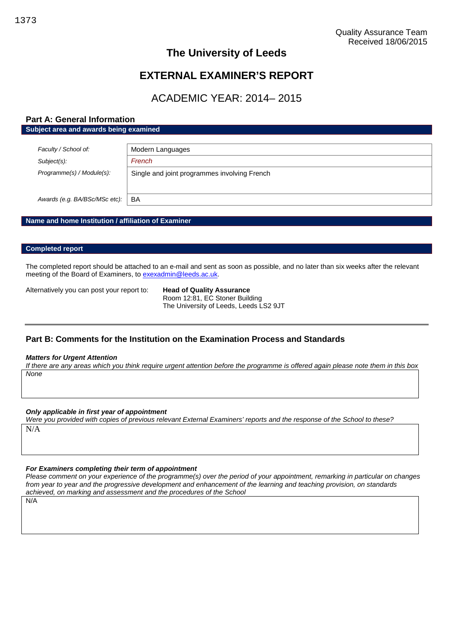# **The University of Leeds**

# **EXTERNAL EXAMINER'S REPORT**

# ACADEMIC YEAR: 2014– 2015

## **Part A: General Information Subject area and awards being examined**

| Faculty / School of:          | Modern Languages                             |
|-------------------------------|----------------------------------------------|
| $Subject(s)$ :                | French                                       |
| Programme(s) / Module(s):     | Single and joint programmes involving French |
| Awards (e.g. BA/BSc/MSc etc): | BA                                           |

## **Name and home Institution / affiliation of Examiner**

### **Completed report**

The completed report should be attached to an e-mail and sent as soon as possible, and no later than six weeks after the relevant meeting of the Board of Examiners, to [exexadmin@leeds.ac.uk.](mailto:exexadmin@leeds.ac.uk)

Alternatively you can post your report to: **Head of Quality Assurance**

Room 12:81, EC Stoner Building The University of Leeds, Leeds LS2 9JT

## **Part B: Comments for the Institution on the Examination Process and Standards**

#### *Matters for Urgent Attention*

*If there are any areas which you think require urgent attention before the programme is offered again please note them in this box None*

#### *Only applicable in first year of appointment*

*Were you provided with copies of previous relevant External Examiners' reports and the response of the School to these?* N/A

#### *For Examiners completing their term of appointment*

*Please comment on your experience of the programme(s) over the period of your appointment, remarking in particular on changes from year to year and the progressive development and enhancement of the learning and teaching provision, on standards achieved, on marking and assessment and the procedures of the School*

N/A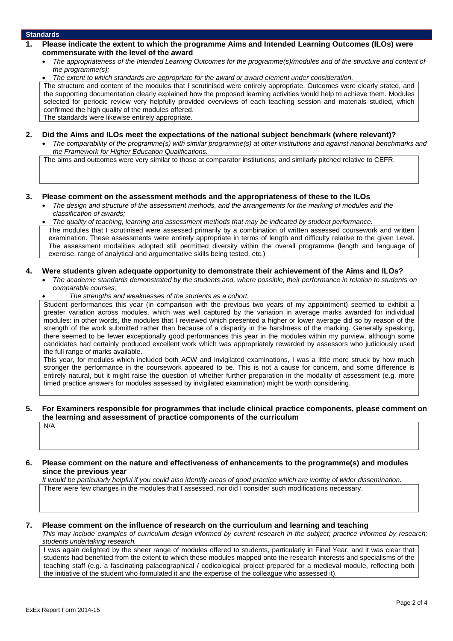### **Standards**

- **1. Please indicate the extent to which the programme Aims and Intended Learning Outcomes (ILOs) were commensurate with the level of the award**
	- *The appropriateness of the Intended Learning Outcomes for the programme(s)/modules and of the structure and content of the programme(s);*
	- *The extent to which standards are appropriate for the award or award element under consideration.*

The structure and content of the modules that I scrutinised were entirely appropriate. Outcomes were clearly stated, and the supporting documentation clearly explained how the proposed learning activities would help to achieve them. Modules selected for periodic review very helpfully provided overviews of each teaching session and materials studied, which confirmed the high quality of the modules offered.

The standards were likewise entirely appropriate.

#### **2. Did the Aims and ILOs meet the expectations of the national subject benchmark (where relevant)?**

 *The comparability of the programme(s) with similar programme(s) at other institutions and against national benchmarks and the Framework for Higher Education Qualifications.*

The aims and outcomes were very similar to those at comparator institutions, and similarly pitched relative to CEFR.

#### **3. Please comment on the assessment methods and the appropriateness of these to the ILOs**

 *The design and structure of the assessment methods, and the arrangements for the marking of modules and the classification of awards;*

 *The quality of teaching, learning and assessment methods that may be indicated by student performance.* The modules that I scrutinised were assessed primarily by a combination of written assessed coursework and written examination. These assessments were entirely appropriate in terms of length and difficulty relative to the given Level. The assessment modalities adopted still permitted diversity within the overall programme (length and language of exercise, range of analytical and argumentative skills being tested, etc.)

#### **4. Were students given adequate opportunity to demonstrate their achievement of the Aims and ILOs?**

- *The academic standards demonstrated by the students and, where possible, their performance in relation to students on comparable courses;*
	- *The strengths and weaknesses of the students as a cohort.*

Student performances this year (in comparison with the previous two years of my appointment) seemed to exhibit a greater variation across modules, which was well captured by the variation in average marks awarded for individual modules: in other words, the modules that I reviewed which presented a higher or lower average did so by reason of the strength of the work submitted rather than because of a disparity in the harshness of the marking. Generally speaking, there seemed to be fewer exceptionally good performances this year in the modules within my purview, although some candidates had certainly produced excellent work which was appropriately rewarded by assessors who judiciously used the full range of marks available.

This year, for modules which included both ACW and invigilated examinations, I was a little more struck by how much stronger the performance in the coursework appeared to be. This is not a cause for concern, and some difference is entirely natural, but it might raise the question of whether further preparation in the modality of assessment (e.g. more timed practice answers for modules assessed by invigilated examination) might be worth considering.

### **5. For Examiners responsible for programmes that include clinical practice components, please comment on the learning and assessment of practice components of the curriculum**

N/A

## **6. Please comment on the nature and effectiveness of enhancements to the programme(s) and modules since the previous year**

*It would be particularly helpful if you could also identify areas of good practice which are worthy of wider dissemination.* There were few changes in the modules that I assessed, nor did I consider such modifications necessary.

## **7. Please comment on the influence of research on the curriculum and learning and teaching** *This may include examples of curriculum design informed by current research in the subject; practice informed by research;*

*students undertaking research.* I was again delighted by the sheer range of modules offered to students, particularly in Final Year, and it was clear that students had benefited from the extent to which these modules mapped onto the research interests and specialisms of the teaching staff (e.g. a fascinating palaeographical / codicological project prepared for a medieval module, reflecting both the initiative of the student who formulated it and the expertise of the colleague who assessed it).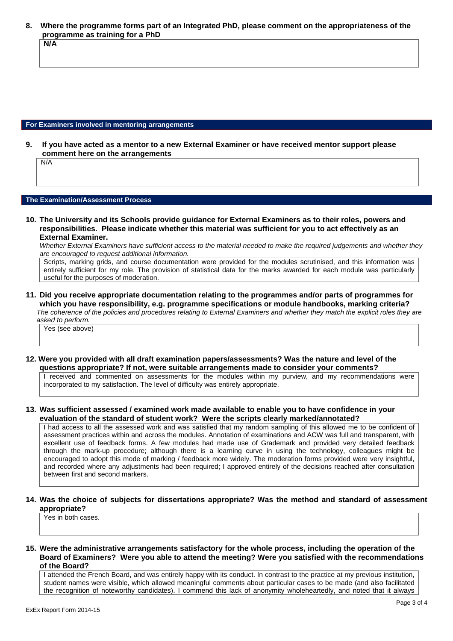**8. Where the programme forms part of an Integrated PhD, please comment on the appropriateness of the programme as training for a PhD N/A**

#### **For Examiners involved in mentoring arrangements**

**9. If you have acted as a mentor to a new External Examiner or have received mentor support please comment here on the arrangements**

N/A

#### **The Examination/Assessment Process**

**10. The University and its Schools provide guidance for External Examiners as to their roles, powers and responsibilities. Please indicate whether this material was sufficient for you to act effectively as an External Examiner.**

*Whether External Examiners have sufficient access to the material needed to make the required judgements and whether they are encouraged to request additional information.*

Scripts, marking grids, and course documentation were provided for the modules scrutinised, and this information was entirely sufficient for my role. The provision of statistical data for the marks awarded for each module was particularly useful for the purposes of moderation.

**11. Did you receive appropriate documentation relating to the programmes and/or parts of programmes for which you have responsibility, e.g. programme specifications or module handbooks, marking criteria?** *The coherence of the policies and procedures relating to External Examiners and whether they match the explicit roles they are asked to perform.*

Yes (see above)

**12. Were you provided with all draft examination papers/assessments? Was the nature and level of the questions appropriate? If not, were suitable arrangements made to consider your comments?**

I received and commented on assessments for the modules within my purview, and my recommendations were incorporated to my satisfaction. The level of difficulty was entirely appropriate.

**13. Was sufficient assessed / examined work made available to enable you to have confidence in your evaluation of the standard of student work? Were the scripts clearly marked/annotated?**

I had access to all the assessed work and was satisfied that my random sampling of this allowed me to be confident of assessment practices within and across the modules. Annotation of examinations and ACW was full and transparent, with excellent use of feedback forms. A few modules had made use of Grademark and provided very detailed feedback through the mark-up procedure; although there is a learning curve in using the technology, colleagues might be encouraged to adopt this mode of marking / feedback more widely. The moderation forms provided were very insightful, and recorded where any adjustments had been required; I approved entirely of the decisions reached after consultation between first and second markers.

**14. Was the choice of subjects for dissertations appropriate? Was the method and standard of assessment appropriate?**

Yes in both cases.

**15. Were the administrative arrangements satisfactory for the whole process, including the operation of the Board of Examiners? Were you able to attend the meeting? Were you satisfied with the recommendations of the Board?**

I attended the French Board, and was entirely happy with its conduct. In contrast to the practice at my previous institution, student names were visible, which allowed meaningful comments about particular cases to be made (and also facilitated the recognition of noteworthy candidates). I commend this lack of anonymity wholeheartedly, and noted that it always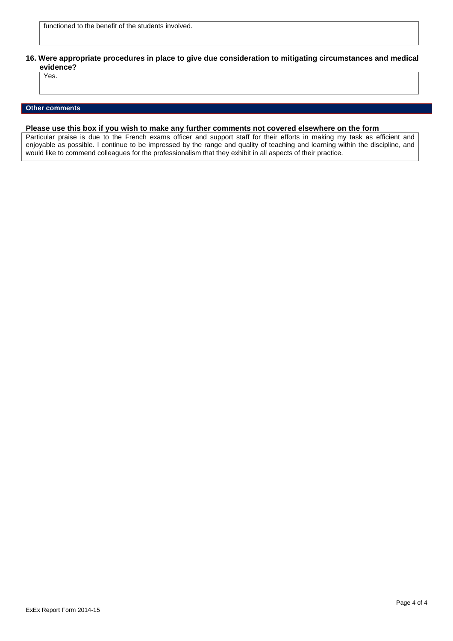**16. Were appropriate procedures in place to give due consideration to mitigating circumstances and medical evidence?**

Yes.

### **Other comments**

## **Please use this box if you wish to make any further comments not covered elsewhere on the form**

Particular praise is due to the French exams officer and support staff for their efforts in making my task as efficient and enjoyable as possible. I continue to be impressed by the range and quality of teaching and learning within the discipline, and would like to commend colleagues for the professionalism that they exhibit in all aspects of their practice.